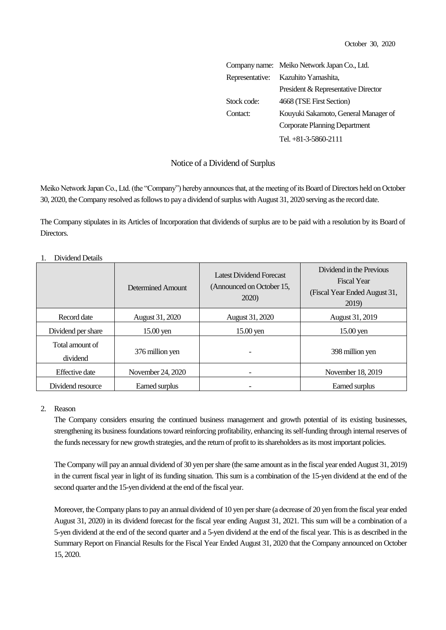|             | Company name: Meiko Network Japan Co., Ltd. |  |  |
|-------------|---------------------------------------------|--|--|
|             | Representative: Kazuhito Yamashita,         |  |  |
|             | President & Representative Director         |  |  |
| Stock code: | 4668 (TSE First Section)                    |  |  |
| Contact:    | Kouyuki Sakamoto, General Manager of        |  |  |
|             | Corporate Planning Department               |  |  |
|             | Tel. $+81-3-5860-2111$                      |  |  |

## Notice of a Dividend of Surplus

Meiko Network Japan Co., Ltd. (the "Company") hereby announces that, at the meeting of its Board of Directors held on October 30, 2020, the Company resolved as follows to pay a dividend of surplus with August 31, 2020 serving as the record date.

The Company stipulates in its Articles of Incorporation that dividends of surplus are to be paid with a resolution by its Board of Directors.

|                             | Determined Amount | Latest Dividend Forecast<br>(Announced on October 15,<br>2020) | Dividend in the Previous<br><b>Fiscal Year</b><br>(Fiscal Year Ended August 31,<br>2019) |
|-----------------------------|-------------------|----------------------------------------------------------------|------------------------------------------------------------------------------------------|
| Record date                 | August 31, 2020   | August 31, 2020                                                | August 31, 2019                                                                          |
| Dividend per share          | $15.00$ yen       | $15.00$ yen                                                    | $15.00$ yen                                                                              |
| Total amount of<br>dividend | 376 million yen   |                                                                | 398 million yen                                                                          |
| Effective date              | November 24, 2020 |                                                                | November 18, 2019                                                                        |
| Dividend resource           | Earned surplus    |                                                                | Earned surplus                                                                           |

## 1. Dividend Details

## 2. Reason

The Company considers ensuring the continued business management and growth potential of its existing businesses, strengthening its business foundations toward reinforcing profitability, enhancing its self-funding through internal reserves of the funds necessary for new growth strategies, and the return of profit to its shareholders as its most important policies.

The Company will pay an annual dividend of 30 yen per share (the same amount as in the fiscal year ended August 31, 2019) in the current fiscal year in light of its funding situation. This sum is a combination of the 15-yen dividend at the end of the second quarter and the 15-yen dividend at the end of the fiscal year.

Moreover, the Company plans to pay an annual dividend of 10 yen per share (a decrease of 20 yen from the fiscal year ended August 31, 2020) in its dividend forecast for the fiscal year ending August 31, 2021. This sum will be a combination of a 5-yen dividend at the end of the second quarter and a 5-yen dividend at the end of the fiscal year. This is as described in the Summary Report on Financial Results for the Fiscal Year Ended August 31, 2020 that the Company announced on October 15, 2020.